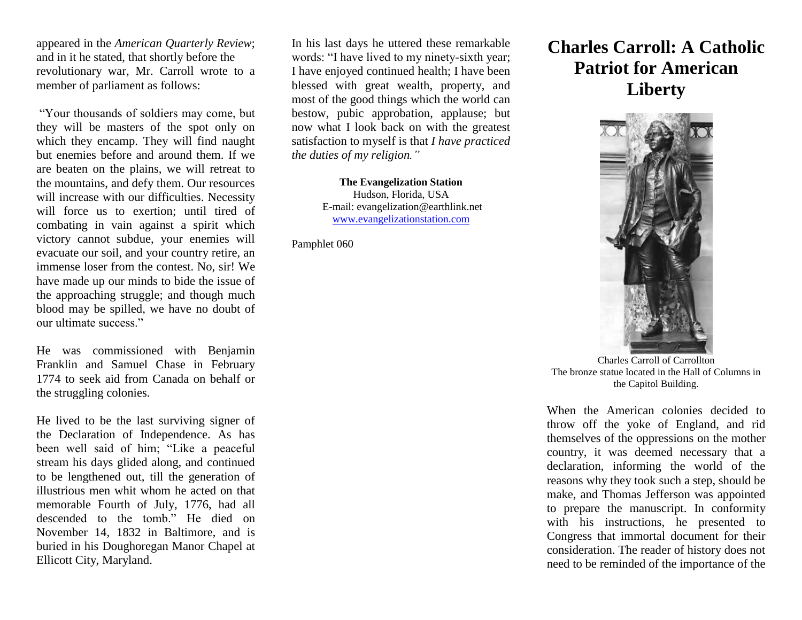appeared in the *American Quarterly Review*; and in it he stated, that shortly before the revolutionary war, Mr. Carroll wrote to a member of parliament as follows:

"Your thousands of soldiers may come, but they will be masters of the spot only on which they encamp. They will find naught but enemies before and around them. If we are beaten on the plains, we will retreat to the mountains, and defy them. Our resources will increase with our difficulties. Necessity will force us to exertion; until tired of combating in vain against a spirit which victory cannot subdue, your enemies will evacuate our soil, and your country retire, an immense loser from the contest. No, sir! We have made up our minds to bide the issue of the approaching struggle; and though much blood may be spilled, we have no doubt of our ultimate success."

He was commissioned with Benjamin Franklin and Samuel Chase in February 1774 to seek aid from Canada on behalf or the struggling colonies.

He lived to be the last surviving signer of the Declaration of Independence. As has been well said of him; "Like a peaceful stream his days glided along, and continued to be lengthened out, till the generation of illustrious men whit whom he acted on that memorable Fourth of July, 1776, had all descended to the tomb." He died on November 14, 1832 in Baltimore, and is buried in his Doughoregan Manor Chapel at Ellicott City, Maryland.

In his last days he uttered these remarkable words: "I have lived to my ninety-sixth year; I have enjoyed continued health; I have been blessed with great wealth, property, and most of the good things which the world can bestow, pubic approbation, applause; but now what I look back on with the greatest satisfaction to myself is that *I have practiced the duties of my religion."*

> **The Evangelization Station** Hudson, Florida, USA E-mail: evangelization@earthlink.net [www.evangelizationstation.com](http://www.pjpiisoe.org/)

Pamphlet 060

## **Charles Carroll: A Catholic Patriot for American Liberty**



Charles Carroll of Carrollton The bronze statue located in the Hall of Columns in the Capitol Building.

When the American colonies decided to throw off the yoke of England, and rid themselves of the oppressions on the mother country, it was deemed necessary that a declaration, informing the world of the reasons why they took such a step, should be make, and Thomas Jefferson was appointed to prepare the manuscript. In conformity with his instructions, he presented to Congress that immortal document for their consideration. The reader of history does not need to be reminded of the importance of the